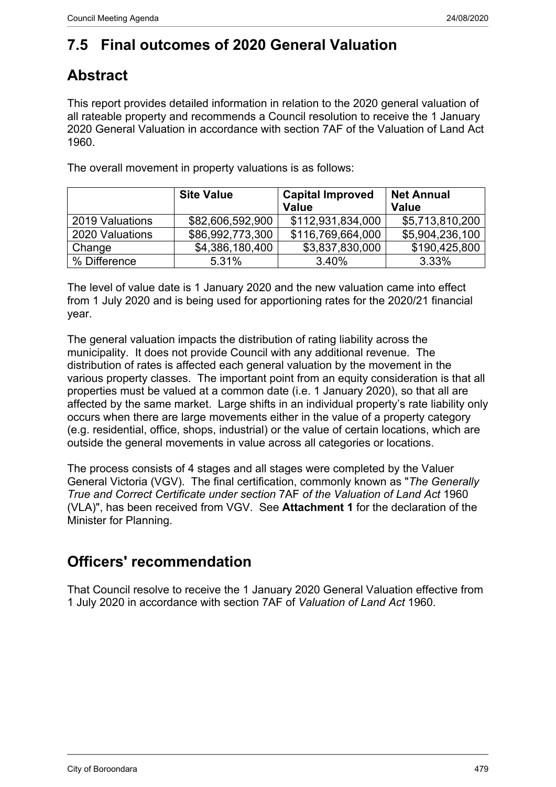# **7.5 Final outcomes of 2020 General Valuation**

# **Abstract**

This report provides detailed information in relation to the 2020 general valuation of all rateable property and recommends a Council resolution to receive the 1 January 2020 General Valuation in accordance with section 7AF of the Valuation of Land Act 1960.

|                 | <b>Site Value</b> | <b>Capital Improved</b><br><b>Value</b> | <b>Net Annual</b><br><b>Value</b> |
|-----------------|-------------------|-----------------------------------------|-----------------------------------|
| 2019 Valuations | \$82,606,592,900  | \$112,931,834,000                       | \$5,713,810,200                   |
| 2020 Valuations | \$86,992,773,300  | \$116,769,664,000                       | \$5,904,236,100                   |
| Change          | \$4,386,180,400   | \$3,837,830,000                         | \$190,425,800                     |
| % Difference    | 5.31%             | 3.40%                                   | 3.33%                             |

The overall movement in property valuations is as follows:

The level of value date is 1 January 2020 and the new valuation came into effect from 1 July 2020 and is being used for apportioning rates for the 2020/21 financial year.

The general valuation impacts the distribution of rating liability across the municipality. It does not provide Council with any additional revenue. The distribution of rates is affected each general valuation by the movement in the various property classes. The important point from an equity consideration is that all properties must be valued at a common date (i.e. 1 January 2020), so that all are affected by the same market. Large shifts in an individual property's rate liability only occurs when there are large movements either in the value of a property category (e.g. residential, office, shops, industrial) or the value of certain locations, which are outside the general movements in value across all categories or locations.

The process consists of 4 stages and all stages were completed by the Valuer General Victoria (VGV). The final certification, commonly known as "*The Generally True and Correct Certificate under section* 7AF *of the Valuation of Land Act* 1960 (VLA)", has been received from VGV. See **Attachment 1** for the declaration of the Minister for Planning.

## **Officers' recommendation**

That Council resolve to receive the 1 January 2020 General Valuation effective from 1 July 2020 in accordance with section 7AF of *Valuation of Land Act* 1960.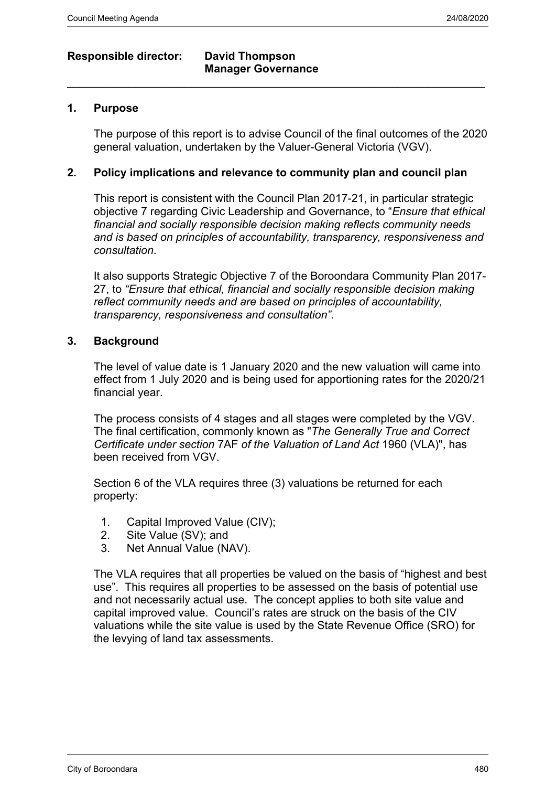## **Responsible director: David Thompson**

# **Manager Governance**  $\_$  , and the set of the set of the set of the set of the set of the set of the set of the set of the set of the set of the set of the set of the set of the set of the set of the set of the set of the set of the set of th

### **1. Purpose**

The purpose of this report is to advise Council of the final outcomes of the 2020 general valuation, undertaken by the Valuer-General Victoria (VGV).

### **2. Policy implications and relevance to community plan and council plan**

This report is consistent with the Council Plan 2017-21, in particular strategic objective 7 regarding Civic Leadership and Governance, to "*Ensure that ethical financial and socially responsible decision making reflects community needs and is based on principles of accountability, transparency, responsiveness and consultation*.

It also supports Strategic Objective 7 of the Boroondara Community Plan 2017- 27, to *"Ensure that ethical, financial and socially responsible decision making reflect community needs and are based on principles of accountability, transparency, responsiveness and consultation"*.

#### **3. Background**

The level of value date is 1 January 2020 and the new valuation will came into effect from 1 July 2020 and is being used for apportioning rates for the 2020/21 financial year.

The process consists of 4 stages and all stages were completed by the VGV. The final certification, commonly known as "*The Generally True and Correct Certificate under section* 7AF *of the Valuation of Land Act* 1960 (VLA)", has been received from VGV

Section 6 of the VLA requires three (3) valuations be returned for each property:

- 1. Capital Improved Value (CIV);
- 2. Site Value (SV); and
- 3. Net Annual Value (NAV).

The VLA requires that all properties be valued on the basis of "highest and best use". This requires all properties to be assessed on the basis of potential use and not necessarily actual use. The concept applies to both site value and capital improved value. Council's rates are struck on the basis of the CIV valuations while the site value is used by the State Revenue Office (SRO) for the levying of land tax assessments.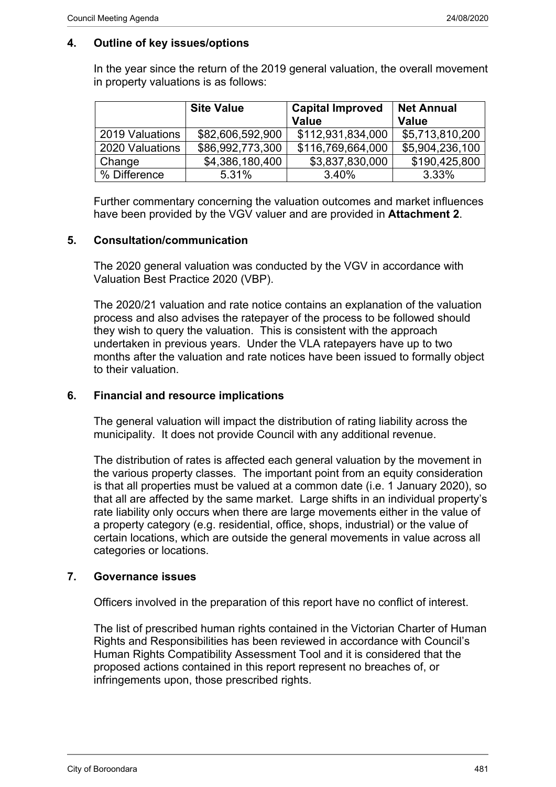## **4. Outline of key issues/options**

In the year since the return of the 2019 general valuation, the overall movement in property valuations is as follows:

|                 | <b>Site Value</b> | <b>Capital Improved</b><br><b>Value</b> | <b>Net Annual</b><br><b>Value</b> |
|-----------------|-------------------|-----------------------------------------|-----------------------------------|
| 2019 Valuations | \$82,606,592,900  | \$112,931,834,000                       | \$5,713,810,200                   |
| 2020 Valuations | \$86,992,773,300  | \$116,769,664,000                       | \$5,904,236,100                   |
| Change          | \$4,386,180,400   | \$3,837,830,000                         | \$190,425,800                     |
| % Difference    | 5.31%             | 3.40%                                   | 3.33%                             |

Further commentary concerning the valuation outcomes and market influences have been provided by the VGV valuer and are provided in **Attachment 2**.

### **5. Consultation/communication**

The 2020 general valuation was conducted by the VGV in accordance with Valuation Best Practice 2020 (VBP).

The 2020/21 valuation and rate notice contains an explanation of the valuation process and also advises the ratepayer of the process to be followed should they wish to query the valuation. This is consistent with the approach undertaken in previous years. Under the VLA ratepayers have up to two months after the valuation and rate notices have been issued to formally object to their valuation.

### **6. Financial and resource implications**

The general valuation will impact the distribution of rating liability across the municipality. It does not provide Council with any additional revenue.

The distribution of rates is affected each general valuation by the movement in the various property classes. The important point from an equity consideration is that all properties must be valued at a common date (i.e. 1 January 2020), so that all are affected by the same market. Large shifts in an individual property's rate liability only occurs when there are large movements either in the value of a property category (e.g. residential, office, shops, industrial) or the value of certain locations, which are outside the general movements in value across all categories or locations.

### **7. Governance issues**

Officers involved in the preparation of this report have no conflict of interest.

The list of prescribed human rights contained in the Victorian Charter of Human Rights and Responsibilities has been reviewed in accordance with Council's Human Rights Compatibility Assessment Tool and it is considered that the proposed actions contained in this report represent no breaches of, or infringements upon, those prescribed rights.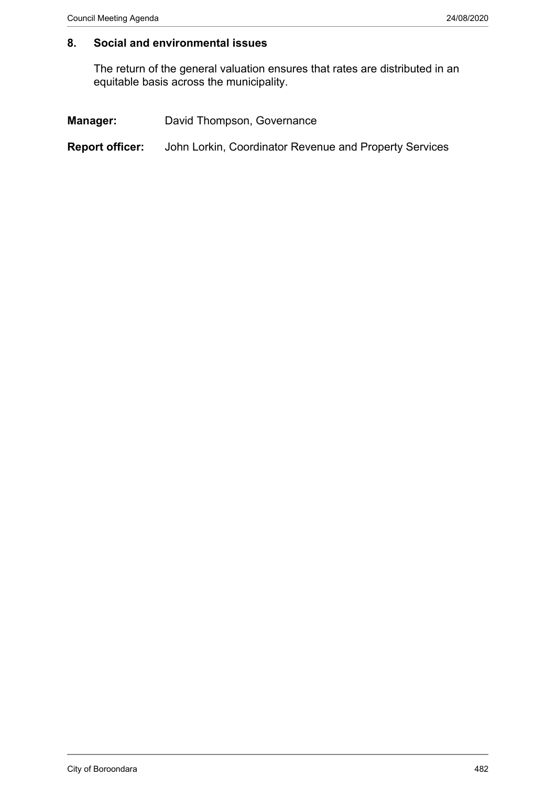### **8. Social and environmental issues**

The return of the general valuation ensures that rates are distributed in an equitable basis across the municipality.

| <b>Manager:</b><br>David Thompson, Governance |
|-----------------------------------------------|
|-----------------------------------------------|

**Report officer:** John Lorkin, Coordinator Revenue and Property Services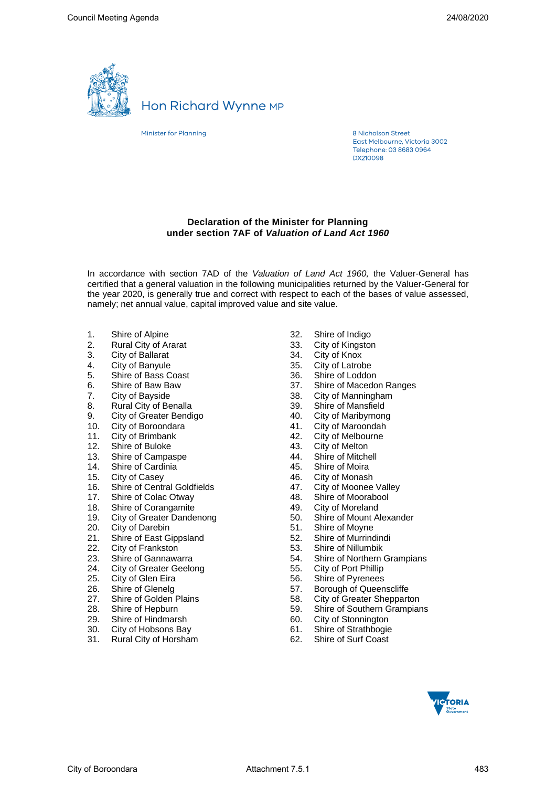

## **Hon Richard Wynne MP**

Minister for Planning

8 Nicholson Street East Melbourne, Victoria 3002 Telephone: 03 8683 0964 **DX210098** 

#### **Declaration of the Minister for Planning under section 7AF of** *Valuation of Land Act 1960*

In accordance with section 7AD of the *Valuation of Land Act 1960,* the Valuer-General has certified that a general valuation in the following municipalities returned by the Valuer-General for the year 2020, is generally true and correct with respect to each of the bases of value assessed, namely; net annual value, capital improved value and site value.

- 1. Shire of Alpine<br>2. Rural City of Al
- 2. Rural City of Ararat<br>3. City of Ballarat
- 3. City of Ballarat<br>4. City of Banyule
- 4. City of Banyule<br>5. Shire of Bass C
- 5. Shire of Bass Coast
- 6. Shire of Baw Baw
- 7. City of Bayside
- 8. Rural City of Benalla
- 
- 9. City of Greater Bendigo<br>10. City of Boroondara City of Boroondara
- 11. City of Brimbank<br>12. Shire of Buloke
- Shire of Buloke
- 13. Shire of Campaspe
- 14. Shire of Cardinia
- 
- 15. City of Casey<br>16. Shire of Centi **Shire of Central Goldfields**
- 17. Shire of Colac Otway
- 18. Shire of Corangamite
- 19. City of Greater Dandenong
- 20. City of Darebin
- 21. Shire of East Gippsland
- 22. City of Frankston
- 23. Shire of Gannawarra
- 24. City of Greater Geelong
- 25. City of Glen Eira
- 26. Shire of Glenelg
- 27. Shire of Golden Plains
- 28. Shire of Hepburn
- 
- 29. Shire of Hindmarsh<br>30. City of Hobsons Bay City of Hobsons Bay
- 31. Rural City of Horsham
- 32. Shire of Indigo
- 33. City of Kingston<br>34. City of Knox
- 
- 34. City of Knox<br>35. City of Latrob City of Latrobe
- 
- 36. Shire of Loddon<br>37. Shire of Macedo Shire of Macedon Ranges
- 
- 38. City of Manningham<br>39. Shire of Mansfield
- 39. Shire of Mansfield<br>40. City of Maribyrnon
- 40. City of Maribyrnong<br>41. City of Maroondah
- 41. City of Maroondah<br>42. City of Melbourne City of Melbourne
- 
- 43. City of Melton<br>44. Shire of Mitch
- 44. Shire of Mitchell<br>45. Shire of Moira Shire of Moira
- 46. City of Monash
- 
- 47. City of Moonee Valley<br>48. Shire of Moorabool Shire of Moorabool
- 
- 49. City of Moreland<br>50. Shire of Mount A Shire of Mount Alexander
- 51. Shire of Moyne
- 52. Shire of Murrindindi
- 53. Shire of Nillumbik
- 54. Shire of Northern Grampians<br>55. City of Port Phillip
- 
- 55. City of Port Phillip Shire of Pyrenees
- 
- 57. Borough of Queenscliffe<br>58. City of Greater Sheppart City of Greater Shepparton
- 59. Shire of Southern Grampians<br>60. City of Stonnington
- City of Stonnington
- 
- 61. Shire of Strathbogie<br>62. Shire of Surf Coast Shire of Surf Coast

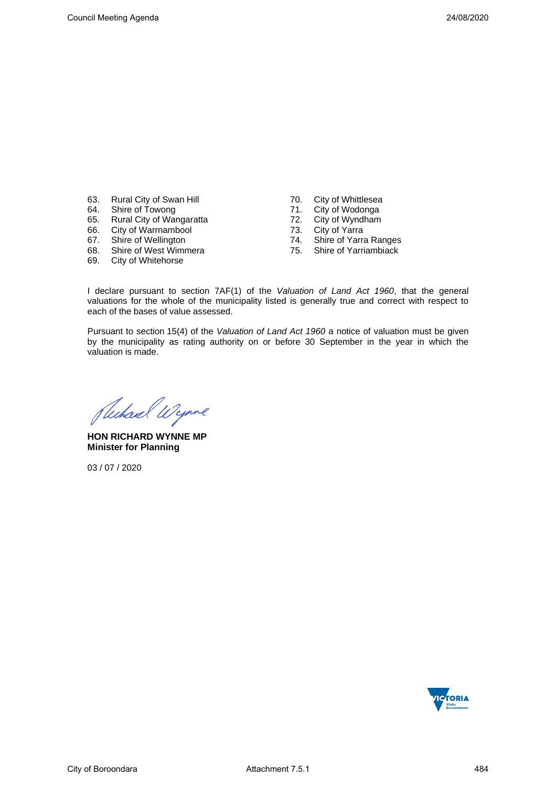- 63. Rural City of Swan Hill<br>64. Shire of Towong
- Shire of Towong
- 65. Rural City of Wangaratta<br>66. City of Warrnambool
- 66. City of Warrnambool
- 67. Shire of Wellington
- 68. Shire of West Wimmera<br>69. City of Whitehorse
- **City of Whitehorse**
- 
- 70. City of Whittlesea<br>71. City of Wodonga 71. City of Wodonga<br>72. City of Wyndham
- 
- 72. City of Wyndham<br>73. City of Yarra 73. City of Yarra
- Shire of Yarra Ranges
- 75. Shire of Yarriambiack

I declare pursuant to section 7AF(1) of the *Valuation of Land Act 1960*, that the general valuations for the whole of the municipality listed is generally true and correct with respect to each of the bases of value assessed.

Pursuant to section 15(4) of the *Valuation of Land Act 1960* a notice of valuation must be given by the municipality as rating authority on or before 30 September in the year in which the valuation is made.

Suchard Wynne

**HON RICHARD WYNNE MP Minister for Planning**

03 / 07 / 2020

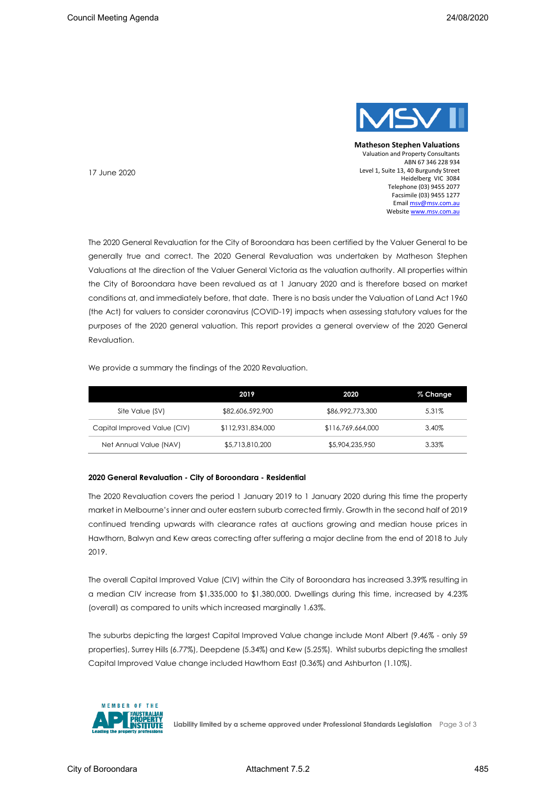

**Matheson Stephen Valuations** Valuation and Property Consultants ABN 67 346 228 934 Level 1, Suite 13, 40 Burgundy Street Heidelberg VIC 3084 Telephone (03) 9455 2077 Facsimile (03) 9455 1277 Emai[l msv@msv.com.au](about:blank) Websit[e www.msv.com.au](about:blank)

17 June 2020

The 2020 General Revaluation for the City of Boroondara has been certified by the Valuer General to be generally true and correct. The 2020 General Revaluation was undertaken by Matheson Stephen Valuations at the direction of the Valuer General Victoria as the valuation authority. All properties within the City of Boroondara have been revalued as at 1 January 2020 and is therefore based on market conditions at, and immediately before, that date. There is no basis under the Valuation of Land Act 1960 (the Act) for valuers to consider coronavirus (COVID-19) impacts when assessing statutory values for the purposes of the 2020 general valuation. This report provides a general overview of the 2020 General Revaluation.

We provide a summary the findings of the 2020 Revaluation.

|                              | 2019              | 2020              | % Change |
|------------------------------|-------------------|-------------------|----------|
| Site Value (SV)              | \$82,606,592,900  | \$86,992,773,300  | 5.31%    |
| Capital Improved Value (CIV) | \$112,931,834,000 | \$116,769,664,000 | 3.40%    |
| Net Annual Value (NAV)       | \$5,713,810,200   | \$5,904,235,950   | 3.33%    |

#### **2020 General Revaluation - City of Boroondara - Residential**

The 2020 Revaluation covers the period 1 January 2019 to 1 January 2020 during this time the property market in Melbourne's inner and outer eastern suburb corrected firmly. Growth in the second half of 2019 continued trending upwards with clearance rates at auctions growing and median house prices in Hawthorn, Balwyn and Kew areas correcting after suffering a major decline from the end of 2018 to July 2019.

The overall Capital Improved Value (CIV) within the City of Boroondara has increased 3.39% resulting in a median CIV increase from \$1,335,000 to \$1,380,000. Dwellings during this time, increased by 4.23% (overall) as compared to units which increased marginally 1.63%.

The suburbs depicting the largest Capital Improved Value change include Mont Albert (9.46% - only 59 properties), Surrey Hills (6.77%), Deepdene (5.34%) and Kew (5.25%). Whilst suburbs depicting the smallest Capital Improved Value change included Hawthorn East (0.36%) and Ashburton (1.10%).



**Liability limited by a scheme approved under Professional Standards Legislation** Page 3 of 3